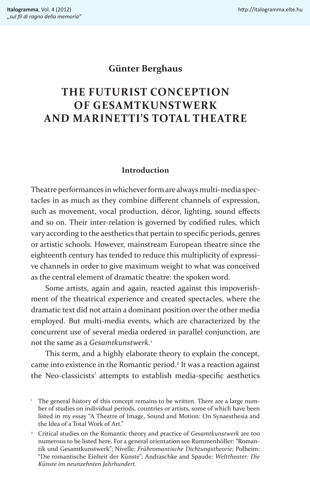# **Günter Berghaus**

# **THE FUTURIST CONCEPTION OF GESAMTKUNSTWERK AND MARINETTI'S TOTAL THEATRE**

## **Introduction**

Theatre performances in whichever form are always multi-media spectacles in as much as they combine different channels of expression, such as movement, vocal production, décor, lighting, sound effects and so on. Their inter-relation is governed by codified rules, which vary according to the aesthetics that pertain to specific periods, genres or artistic schools. However, mainstream European theatre since the eighteenth century has tended to reduce this multiplicity of expressive channels in order to give maximum weight to what was conceived as the central element of dramatic theatre: the spoken word.

Some artists, again and again, reacted against this impoverishment of the theatrical experience and created spectacles, where the dramatic text did not attain a dominant position over the other media employed. But multi-media events, which are characterized by the concurrent use of several media ordered in parallel conjunction, are not the same as a *Gesamtkunstwerk.*<sup>1</sup>

This term, and a highly elaborate theory to explain the concept, came into existence in the Romantic period.<sup>2</sup> It was a reaction against the Neo-classicists' attempts to establish media-specific aesthetics

<sup>&</sup>lt;sup>1</sup> The general history of this concept remains to be written. There are a large number of studies on individual periods, countries or artists, some of which have been listed in my essay "A Theatre of Image, Sound and Motion: On Synaesthesia and the Idea of a Total Work of Art."

<sup>2</sup> Critical studies on the Romantic theory and practice of *Gesamtkunstwerk* are too numerous to be listed here. For a general orientation see Rummenhöller: "Romantik und Gesamtkunstwerk"; Nivelle: *Frühromantische Dichtungstheorie*; Polheim: "Die romantische Einheit der Künste"; Andraschke and Spaude: *Welttheater: Die Künste im neunzehnten Jahrhundert*.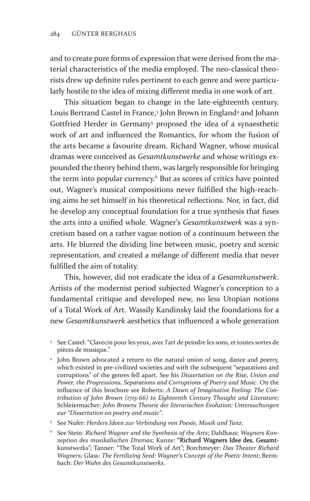and to create pure forms of expression that were derived from the material characteristics of the media employed. The neo-classical theorists drew up definite rules pertinent to each genre and were particularly hostile to the idea of mixing different media in one work of art.

This situation began to change in the late-eighteenth century. Louis Bertrand Castel in France,3 John Brown in England4 and Johann Gottfried Herder in Germany<sup>5</sup> proposed the idea of a synaesthetic work of art and influenced the Romantics, for whom the fusion of the arts became a favourite dream. Richard Wagner, whose musical dramas were conceived as *Gesamtkunstwerke* and whose writings expounded the theory behind them, was largely responsible for bringing the term into popular currency.<sup>6</sup> But as scores of critics have pointed out, Wagner's musical compositions never fulfilled the high-reaching aims he set himself in his theoretical reflections. Nor, in fact, did he develop any conceptual foundation for a true synthesis that fuses the arts into a unified whole. Wagner's *Gesamtkunstwerk* was a syncretism based on a rather vague notion of a continuum between the arts. He blurred the dividing line between music, poetry and scenic representation, and created a mélange of different media that never fulfilled the aim of totality.

This, however, did not eradicate the idea of a *Gesamtkunstwerk*. Artists of the modernist period subjected Wagner's conception to a fundamental critique and developed new, no less Utopian notions of a Total Work of Art. Wassily Kandinsky laid the foundations for a new *Gesamtkunstwerk* aesthetics that influenced a whole generation

- <sup>3</sup> See Castel: "Clavecin pour les yeux, avec l'art de peindre les sons, et toutes sortes de pièces de musique."
- <sup>4</sup> John Brown advocated a return to the natural union of song, dance and poetry, which existed in pre-civilized societies and with the subsequent "separations and corruptions" of the genres fell apart. See his *Dissertation on the Rise, Union and Power, the Progressions, Separations and Corruptions of Poetry and Music*. On the influence of this brochure see Roberts: *A Dawn of Imaginative Feeling: The Contribution of John Brown (1715-66) to Eighteenth Century Thought and Literature;*  Schleiermacher: *John Browns Theorie der literarischen Evolution: Untersuchungen zur "Dissertation on poetry and music"*.
- <sup>5</sup> See Nufer: *Herders Ideen zur Verbindung von Poesie, Musik und Tanz*.
- <sup>6</sup> See Stein: *Richard Wagner and the Synthesis of the Arts*; Dahlhaus: *Wagners Kon*zeption des musikalischen Dramas; Kunze: "Richard Wagners Idee des. Gesamtkunstwerks"; Tanner: "The Total Work of Art"; Borchmeyer: *Das Theater Richard Wagners;* Glass: *The Fertilizing Seed: Wagner's Concept of the Poetic Intent*; Bermbach: *Der Wahn des Gesamtkunstwerks*.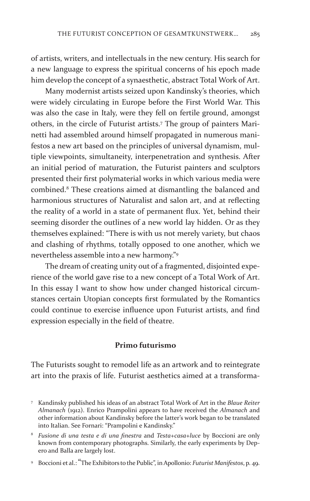of artists, writers, and intellectuals in the new century. His search for a new language to express the spiritual concerns of his epoch made him develop the concept of a synaesthetic, abstract Total Work of Art.

Many modernist artists seized upon Kandinsky's theories, which were widely circulating in Europe before the First World War. This was also the case in Italy, were they fell on fertile ground, amongst others, in the circle of Futurist artists.7 The group of painters Marinetti had assembled around himself propagated in numerous manifestos a new art based on the principles of universal dynamism, multiple viewpoints, simultaneity, interpenetration and synthesis. After an initial period of maturation, the Futurist painters and sculptors presented their first polymaterial works in which various media were combined.8 These creations aimed at dismantling the balanced and harmonious structures of Naturalist and salon art, and at reflecting the reality of a world in a state of permanent flux. Yet, behind their seeming disorder the outlines of a new world lay hidden. Or as they themselves explained: "There is with us not merely variety, but chaos and clashing of rhythms, totally opposed to one another, which we nevertheless assemble into a new harmony."9

The dream of creating unity out of a fragmented, disjointed experience of the world gave rise to a new concept of a Total Work of Art. In this essay I want to show how under changed historical circumstances certain Utopian concepts first formulated by the Romantics could continue to exercise influence upon Futurist artists, and find expression especially in the field of theatre.

## **Primo futurismo**

The Futurists sought to remodel life as an artwork and to reintegrate art into the praxis of life. Futurist aesthetics aimed at a transforma-

<sup>7</sup> Kandinsky published his ideas of an abstract Total Work of Art in the *Blaue Reiter Almanach* (1912). Enrico Prampolini appears to have received the *Almanach* and other information about Kandinsky before the latter's work began to be translated into Italian. See Fornari: "Prampolini e Kandinsky."

<sup>8</sup> *Fusione di una testa e di una finestra* and *Testa+casa+luce* by Boccioni are only known from contemporary photographs. Similarly, the early experiments by Depero and Balla are largely lost.

<sup>9</sup> Boccioni et al.: "The Exhibitors to the Public", in Apollonio: *Futurist Manifestos*, p. 49.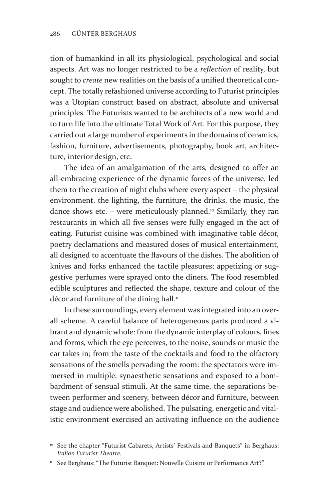tion of humankind in all its physiological, psychological and social aspects. Art was no longer restricted to be a *reflection* of reality, but sought to *create* new realities on the basis of a unified theoretical concept. The totally refashioned universe according to Futurist principles was a Utopian construct based on abstract, absolute and universal principles. The Futurists wanted to be architects of a new world and to turn life into the ultimate Total Work of Art. For this purpose, they carried out a large number of experiments in the domains of ceramics, fashion, furniture, advertisements, photography, book art, architecture, interior design, etc.

The idea of an amalgamation of the arts, designed to offer an all-embracing experience of the dynamic forces of the universe, led them to the creation of night clubs where every aspect – the physical environment, the lighting, the furniture, the drinks, the music, the dance shows etc. – were meticulously planned.<sup>10</sup> Similarly, they ran restaurants in which all five senses were fully engaged in the act of eating. Futurist cuisine was combined with imaginative table décor, poetry declamations and measured doses of musical entertainment, all designed to accentuate the flavours of the dishes. The abolition of knives and forks enhanced the tactile pleasures; appetizing or suggestive perfumes were sprayed onto the diners. The food resembled edible sculptures and reflected the shape, texture and colour of the décor and furniture of the dining hall.<sup>11</sup>

In these surroundings, every element was integrated into an overall scheme. A careful balance of heterogeneous parts produced a vibrant and dynamic whole: from the dynamic interplay of colours, lines and forms, which the eye perceives, to the noise, sounds or music the ear takes in; from the taste of the cocktails and food to the olfactory sensations of the smells pervading the room: the spectators were immersed in multiple, synaesthetic sensations and exposed to a bombardment of sensual stimuli. At the same time, the separations between performer and scenery, between décor and furniture, between stage and audience were abolished. The pulsating, energetic and vitalistic environment exercised an activating influence on the audience

<sup>&</sup>lt;sup>10</sup> See the chapter "Futurist Cabarets, Artists' Festivals and Banquets" in Berghaus: *Italian Futurist Theatre.*

<sup>&</sup>lt;sup>11</sup> See Berghaus: "The Futurist Banquet: Nouvelle Cuisine or Performance Art?"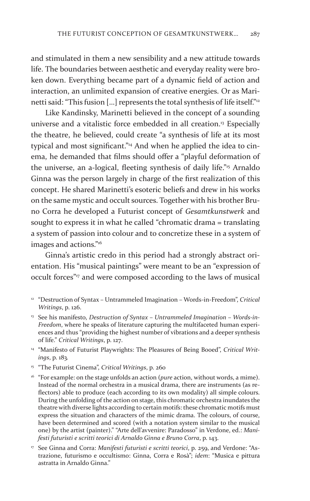and stimulated in them a new sensibility and a new attitude towards life. The boundaries between aesthetic and everyday reality were broken down. Everything became part of a dynamic field of action and interaction, an unlimited expansion of creative energies. Or as Marinetti said: "This fusion [...] represents the total synthesis of life itself."<sup>12</sup>

Like Kandinsky, Marinetti believed in the concept of a sounding universe and a vitalistic force embedded in all creation.<sup>13</sup> Especially the theatre, he believed, could create "a synthesis of life at its most typical and most significant."<sup>14</sup> And when he applied the idea to cinema, he demanded that films should offer a "playful deformation of the universe, an a-logical, fleeting synthesis of daily life."15 Arnaldo Ginna was the person largely in charge of the first realization of this concept. He shared Marinetti's esoteric beliefs and drew in his works on the same mystic and occult sources. Together with his brother Bruno Corra he developed a Futurist concept of *Gesamtkunstwerk* and sought to express it in what he called "chromatic drama = translating a system of passion into colour and to concretize these in a system of images and actions."16

Ginna's artistic credo in this period had a strongly abstract orientation. His "musical paintings" were meant to be an "expression of occult forces"<sup>17</sup> and were composed according to the laws of musical

- <sup>12</sup> "Destruction of Syntax Untrammeled Imagination Words-in-Freedom", *Critical Writings*, p. 126.
- <sup>13</sup> See his manifesto, *Destruction of Syntax Untrammeled Imagination Words-in-Freedom*, where he speaks of literature capturing the multifaceted human experiences and thus "providing the highest number of vibrations and a deeper synthesis of life." *Critical Writings*, p. 127.
- <sup>14</sup> "Manifesto of Futurist Playwrights: The Pleasures of Being Booed", Critical Writ*ings*, p. 183*.*
- <sup>15</sup> "The Futurist Cinema", *Critical Writings*, p. 260
- <sup>16</sup> "For example: on the stage unfolds an action (*pure* action, without words, a mime). Instead of the normal orchestra in a musical drama, there are instruments (as reflectors) able to produce (each according to its own modality) all simple colours. During the unfolding of the action on stage, this chromatic orchestra inundates the theatre with diverse lights according to certain motifs: these chromatic motifs must express the situation and characters of the mimic drama. The colours, of course, have been determined and scored (with a notation system similar to the musical one) by the artist (painter)." "Arte dell'avvenire: Paradosso" in Verdone, ed.: *Manifesti futuristi e scritti teorici di Arnaldo Ginna e Bruno Corra*, p. 143.
- <sup>17</sup> See Ginna and Corra: *Manifesti futuristi e scritti teorici*, p. 259, and Verdone: "Astrazione, futurismo e occultismo: Ginna, Corra e Rosà"; *idem*: "Musica e pittura astratta in Arnaldo Ginna."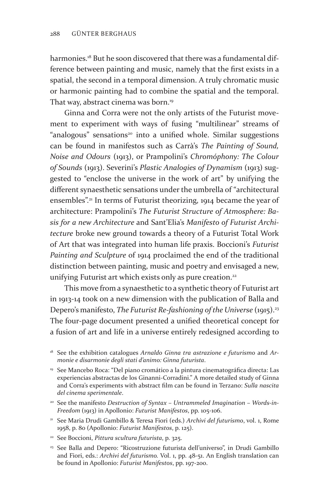harmonies.18 But he soon discovered that there was a fundamental difference between painting and music, namely that the first exists in a spatial, the second in a temporal dimension. A truly chromatic music or harmonic painting had to combine the spatial and the temporal. That way, abstract cinema was born.<sup>19</sup>

Ginna and Corra were not the only artists of the Futurist movement to experiment with ways of fusing "multilinear" streams of "analogous" sensations<sup>20</sup> into a unified whole. Similar suggestions can be found in manifestos such as Carrà's *The Painting of Sound, Noise and Odours* (1913), or Prampolini's *Chromóphony: The Colour of Sounds* (1913). Severini's *Plastic Analogies of Dynamism* (1913) suggested to "enclose the universe in the work of art" by unifying the different synaesthetic sensations under the umbrella of "architectural ensembles".21 In terms of Futurist theorizing, 1914 became the year of architecture: Prampolini's *The Futurist Structure of Atmosphere: Basis for a new Architecture* and Sant'Elia's *Manifesto of Futurist Architecture* broke new ground towards a theory of a Futurist Total Work of Art that was integrated into human life praxis. Boccioni's *Futurist Painting and Sculpture* of 1914 proclaimed the end of the traditional distinction between painting, music and poetry and envisaged a new, unifying Futurist art which exists only as pure creation.<sup>22</sup>

This move from a synaesthetic to a synthetic theory of Futurist art in 1913-14 took on a new dimension with the publication of Balla and Depero's manifesto, *The Futurist Re-fashioning of the Universe* (1915).23 The four-page document presented a unified theoretical concept for a fusion of art and life in a universe entirely redesigned according to

- <sup>19</sup> See Mancebo Roca: "Del piano cromático a la pintura cinematográfica directa: Las experiencias abstractas de los Ginanni-Corradini." A more detailed study of Ginna and Corra's experiments with abstract film can be found in Terzano: *Sulla nascita del cinema sperimentale*.
- <sup>20</sup> See the manifesto Destruction of Syntax Untrammeled Imagination Words-in-*Freedom* (1913) in Apollonio: *Futurist Manifestos*, pp. 105-106.
- <sup>21</sup> See Maria Drudi Gambillo & Teresa Fiori (eds.) *Archivi del futurismo*, vol. 1, Rome 1958, p. 80 (Apollonio: *Futurist Manifestos*, p. 125).
- <sup>22</sup> See Boccioni, *Pittura scultura futurista*, p. 325.
- <sup>23</sup> See Balla and Depero: "Ricostruzione futurista dell'universo", in Drudi Gambillo and Fiori, eds.: *Archivi del futurismo.* Vol. 1, pp. 48-51. An English translation can be found in Apollonio: *Futurist Manifestos*, pp. 197-200.

<sup>&</sup>lt;sup>18</sup> See the exhibition catalogues *Arnaldo Ginna tra astrazione e futurismo* and *Armonie e disarmonie degli stati d'animo: Ginna futurista*.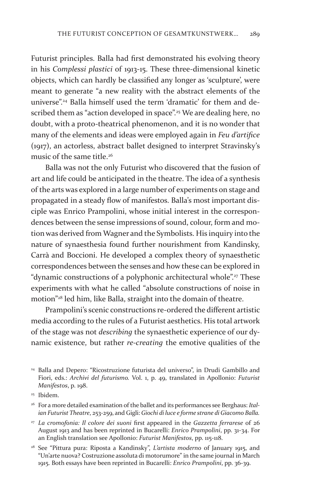Futurist principles. Balla had first demonstrated his evolving theory in his *Complessi plastici* of 1913-15. These three-dimensional kinetic objects, which can hardly be classified any longer as 'sculpture', were meant to generate "a new reality with the abstract elements of the universe".24 Balla himself used the term 'dramatic' for them and described them as "action developed in space".<sup>25</sup> We are dealing here, no doubt, with a proto-theatrical phenomenon, and it is no wonder that many of the elements and ideas were employed again in *Feu d'artifice* (1917), an actorless, abstract ballet designed to interpret Stravinsky's music of the same title.<sup>26</sup>

Balla was not the only Futurist who discovered that the fusion of art and life could be anticipated in the theatre. The idea of a synthesis of the arts was explored in a large number of experiments on stage and propagated in a steady flow of manifestos. Balla's most important disciple was Enrico Prampolini, whose initial interest in the correspondences between the sense impressions of sound, colour, form and motion was derived from Wagner and the Symbolists. His inquiry into the nature of synaesthesia found further nourishment from Kandinsky, Carrà and Boccioni. He developed a complex theory of synaesthetic correspondences between the senses and how these can be explored in "dynamic constructions of a polyphonic architectural whole".<sup>27</sup> These experiments with what he called "absolute constructions of noise in motion"28 led him, like Balla, straight into the domain of theatre.

Prampolini's scenic constructions re-ordered the different artistic media according to the rules of a Futurist aesthetics. His total artwork of the stage was not *describing* the synaesthetic experience of our dynamic existence, but rather *re-creating* the emotive qualities of the

<sup>25</sup> Ibidem.

<sup>26</sup> For a more detailed examination of the ballet and its performances see Berghaus: *Italian Futurist Theatre*, 253-259, and Gigli: *Giochi di luce e forme strane di Giacomo Balla.*

<sup>27</sup> *La cromofonia: Il colore dei suoni* first appeared in the *Gazzetta ferrarese* of 26 August 1913 and has been reprinted in Bucarelli: *Enrico Prampolini*, pp. 31-34. For an English translation see Apollonio: *Futurist Manifestos*, pp. 115-118.

<sup>28</sup> See "Pittura pura: Riposta a Kandinsky", *L'artista moderno* of January 1915, and "Un'arte nuova? Costruzione assoluta di motorumore" in the same journal in March 1915. Both essays have been reprinted in Bucarelli: *Enrico Prampolini*, pp. 36-39.

<sup>24</sup> Balla and Depero: "Ricostruzione futurista del universo", in Drudi Gambillo and Fiori, eds.: *Archivi del futurismo.* Vol. 1, p. 49, translated in Apollonio: *Futurist Manifestos*, p. 198.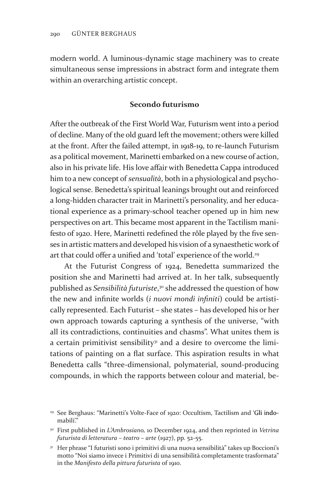modern world. A luminous-dynamic stage machinery was to create simultaneous sense impressions in abstract form and integrate them within an overarching artistic concept.

## **Secondo futurismo**

After the outbreak of the First World War, Futurism went into a period of decline. Many of the old guard left the movement; others were killed at the front. After the failed attempt, in 1918-19, to re-launch Futurism as a political movement, Marinetti embarked on a new course of action, also in his private life. His love affair with Benedetta Cappa introduced him to a new concept of *sensualità*, both in a physiological and psychological sense. Benedetta's spiritual leanings brought out and reinforced a long-hidden character trait in Marinetti's personality, and her educational experience as a primary-school teacher opened up in him new perspectives on art. This became most apparent in the Tactilism manifesto of 1920. Here, Marinetti redefined the rôle played by the five senses in artistic matters and developed his vision of a synaesthetic work of art that could offer a unified and 'total' experience of the world.<sup>29</sup>

At the Futurist Congress of 1924, Benedetta summarized the position she and Marinetti had arrived at. In her talk, subsequently published as *Sensibilità futuriste*, 30 she addressed the question of how the new and infinite worlds (*i nuovi mondi infiniti*) could be artistically represented. Each Futurist – she states – has developed his or her own approach towards capturing a synthesis of the universe, "with all its contradictions, continuities and chasms". What unites them is a certain primitivist sensibility<sup>31</sup> and a desire to overcome the limitations of painting on a flat surface. This aspiration results in what Benedetta calls "three-dimensional, polymaterial, sound-producing compounds, in which the rapports between colour and material, be-

- <sup>30</sup> First published in *L'Ambrosiano,* 10 December 1924, and then reprinted in *Vetrina futurista di letteratura – teatro – arte* (1927), pp. 52-55.
- <sup>31</sup> Her phrase "I futuristi sono i primitivi di una nuova sensibilità" takes up Boccioni's motto "Noi siamo invece i Primitivi di una sensibilità completamente trasformata" in the *Manifesto della pittura futurista* of 1910.

<sup>29</sup> See Berghaus: "Marinetti's Volte-Face of 1920: Occultism, Tactilism and 'Gli indomabili".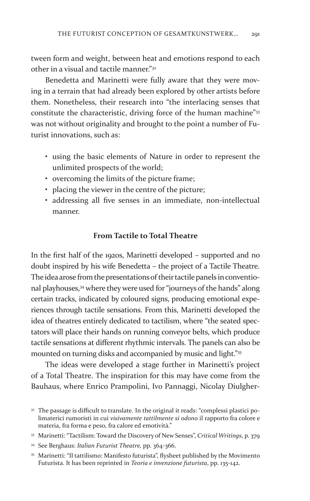tween form and weight, between heat and emotions respond to each other in a visual and tactile manner $^{"32}$ 

Benedetta and Marinetti were fully aware that they were moving in a terrain that had already been explored by other artists before them. Nonetheless, their research into "the interlacing senses that constitute the characteristic, driving force of the human machine"<sup>33</sup> was not without originality and brought to the point a number of Futurist innovations, such as:

- using the basic elements of Nature in order to represent the unlimited prospects of the world;
- overcoming the limits of the picture frame;
- placing the viewer in the centre of the picture;
- addressing all five senses in an immediate, non-intellectual manner.

## **From Tactile to Total Theatre**

In the first half of the 1920s, Marinetti developed – supported and no doubt inspired by his wife Benedetta – the project of a Tactile Theatre. The idea arose from the presentations of their tactile panels in conventional playhouses,<sup>34</sup> where they were used for "journeys of the hands" along certain tracks, indicated by coloured signs, producing emotional experiences through tactile sensations. From this, Marinetti developed the idea of theatres entirely dedicated to tactilism, where "the seated spectators will place their hands on running conveyor belts, which produce tactile sensations at different rhythmic intervals. The panels can also be mounted on turning disks and accompanied by music and light."<sup>35</sup>

The ideas were developed a stage further in Marinetti's project of a Total Theatre. The inspiration for this may have come from the Bauhaus, where Enrico Prampolini, Ivo Pannaggi, Nicolay Diulgher-

<sup>&</sup>lt;sup>32</sup> The passage is difficult to translate. In the original it reads: "complessi plastici polimaterici rumoristi in cui *visivamente tattilmente si odono* il rapporto fra colore e materia, fra forma e peso, fra calore ed emotività."

<sup>33</sup> Marinetti: "Tactilism: Toward the Discovery of New Senses", *Critical Writings*, p. 379

<sup>34</sup> See Berghaus: *Italian Futurist Theatre,* pp. 364-366.

<sup>35</sup> Marinetti: "Il tattilismo: Manifesto futurista", flysheet published by the Movimento Futurista. It has been reprinted in *Teoria e invenzione futurista*, pp. 135-142.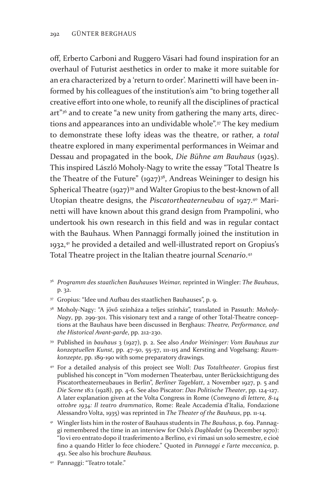off, Erberto Carboni and Ruggero Vásari had found inspiration for an overhaul of Futurist aesthetics in order to make it more suitable for an era characterized by a 'return to order'. Marinetti will have been informed by his colleagues of the institution's aim "to bring together all creative effort into one whole, to reunify all the disciplines of practical art"36 and to create "a new unity from gathering the many arts, directions and appearances into an undividable whole".<sup>37</sup> The key medium to demonstrate these lofty ideas was the theatre, or rather, a *total* theatre explored in many experimental performances in Weimar and Dessau and propagated in the book, *Die Bühne am Bauhaus* (1925). This inspired László Moholy-Nagy to write the essay "Total Theatre Is the Theatre of the Future"  $(1927)^{38}$ , Andreas Weininger to design his Spherical Theatre (1927)<sup>39</sup> and Walter Gropius to the best-known of all Utopian theatre designs, the *Piscatortheaterneubau* of 1927.<sup>40</sup> Marinetti will have known about this grand design from Prampolini, who undertook his own research in this field and was in regular contact with the Bauhaus. When Pannaggi formally joined the institution in 1932,<sup>41</sup> he provided a detailed and well-illustrated report on Gropius's Total Theatre project in the Italian theatre journal *Scenario*. 42

- <sup>36</sup> *Programm des staatlichen Bauhauses Weimar,* reprinted in Wingler: *The Bauhaus*, p. 32.
- <sup>37</sup> Gropius: "Idee und Aufbau des staatlichen Bauhauses", p. 9.
- <sup>38</sup> Moholy-Nagy: "A jövő színháza a teljes színház", translated in Passuth: *Moholy-Nagy*, pp. 299-301. This visionary text and a range of other Total-Theatre conceptions at the Bauhaus have been discussed in Berghaus: *Theatre, Performance, and the Historical Avant-garde*, pp. 212-230.
- <sup>39</sup> Published in *bauhaus* 3 (1927), p. 2. See also *Andor Weininger: Vom Bauhaus zur konzeptuellen Kunst*, pp. 47-50, 55-57, 111-115 and Kersting and Vogelsang: *Raumkonzepte*, pp. 189-190 with some preparatory drawings.
- <sup>40</sup> For a detailed analysis of this project see Woll: *Das Totaltheater*. Gropius first published his concept in "Vom modernen Theaterbau, unter Berücksichtigung des Piscatortheaterneubaues in Berlin", *Berliner Tageblatt*, 2 November 1927, p. 5 and *Die Scene* 18:1 (1928), pp. 4-6. See also Piscator: *Das Politische Theater*, pp. 124-127. A later explanation given at the Volta Congress in Rome (*Convegno di lettere, 8-14 ottobre 1934: Il teatro drammatico*, Rome: Reale Accademia d'Italia, Fondazione Alessandro Volta, 1935) was reprinted in *The Theater of the Bauhaus*, pp. 11-14.
- <sup>41</sup> Wingler lists him in the roster of Bauhaus students in *The Bauhaus*, p. 619. Pannaggi remembered the time in an interview for Oslo's *Dagbladet* (19 December 1970): "Io vi ero entrato dopo il trasferimento a Berlino, e vi rimasi un solo semestre, e cioè fino a quando Hitler lo fece chiodere." Quoted in *Pannaggi e l'arte meccanica*, p. 451. See also his brochure *Bauhaus.*
- <sup>42</sup> Pannaggi: "Teatro totale."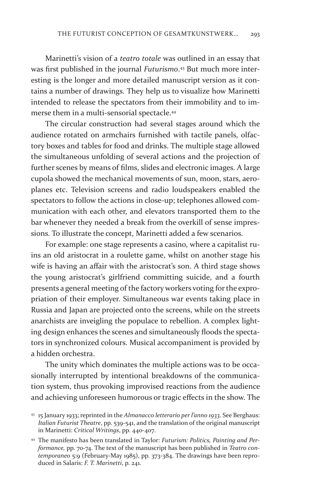Marinetti's vision of a *teatro totale* was outlined in an essay that was first published in the journal *Futurismo*. 43 But much more interesting is the longer and more detailed manuscript version as it contains a number of drawings. They help us to visualize how Marinetti intended to release the spectators from their immobility and to immerse them in a multi-sensorial spectacle.<sup>44</sup>

The circular construction had several stages around which the audience rotated on armchairs furnished with tactile panels, olfactory boxes and tables for food and drinks. The multiple stage allowed the simultaneous unfolding of several actions and the projection of further scenes by means of films, slides and electronic images. A large cupola showed the mechanical movements of sun, moon, stars, aeroplanes etc. Television screens and radio loudspeakers enabled the spectators to follow the actions in close-up; telephones allowed communication with each other, and elevators transported them to the bar whenever they needed a break from the overkill of sense impressions. To illustrate the concept, Marinetti added a few scenarios.

For example: one stage represents a casino, where a capitalist ruins an old aristocrat in a roulette game, whilst on another stage his wife is having an affair with the aristocrat's son. A third stage shows the young aristocrat's girlfriend committing suicide, and a fourth presents a general meeting of the factory workers voting for the expropriation of their employer. Simultaneous war events taking place in Russia and Japan are projected onto the screens, while on the streets anarchists are inveigling the populace to rebellion. A complex lighting design enhances the scenes and simultaneously floods the spectators in synchronized colours. Musical accompaniment is provided by a hidden orchestra.

The unity which dominates the multiple actions was to be occasionally interrupted by intentional breakdowns of the communication system, thus provoking improvised reactions from the audience and achieving unforeseen humorous or tragic effects in the show. The

<sup>43</sup> 15 January 1933; reprinted in the *Almanacco letterario per l'anno 1933*. See Berghaus: *Italian Futurist Theatre*, pp. 539-541, and the translation of the original manuscript in Marinetti: *Critical Writings*, pp. 440-407.

<sup>44</sup> The manifesto has been translated in Taylor: *Futurism: Politics, Painting and Performance,* pp. 70-74. The text of the manuscript has been published in *Teatro contemporaneo* 5:9 (February-May 1985), pp. 373-384. The drawings have been reproduced in Salaris: *F. T. Marinetti*, p. 241.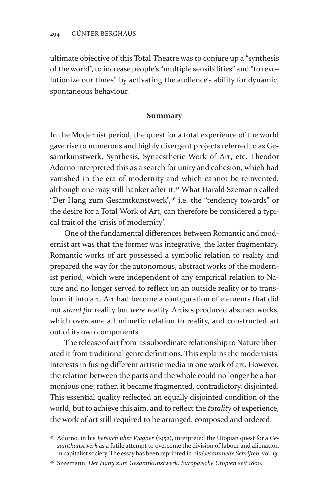ultimate objective of this Total Theatre was to conjure up a "synthesis of the world", to increase people's "multiple sensibilities" and "to revolutionize our times" by activating the audience's ability for dynamic, spontaneous behaviour.

#### **Summary**

In the Modernist period, the quest for a total experience of the world gave rise to numerous and highly divergent projects referred to as Gesamtkunstwerk, Synthesis, Synaesthetic Work of Art, etc. Theodor Adorno interpreted this as a search for unity and cohesion, which had vanished in the era of modernity and which cannot be reinvented, although one may still hanker after it.45 What Harald Szemann called "Der Hang zum Gesamtkunstwerk",46 i.e. the "tendency towards" or the desire for a Total Work of Art, can therefore be considered a typical trait of the 'crisis of modernity'.

One of the fundamental differences between Romantic and modernist art was that the former was integrative, the latter fragmentary. Romantic works of art possessed a symbolic relation to reality and prepared the way for the autonomous, abstract works of the modernist period, which were independent of any empirical relation to Nature and no longer served to reflect on an outside reality or to transform it into art. Art had become a configuration of elements that did not *stand for* reality but *were* reality. Artists produced abstract works, which overcame all mimetic relation to reality, and constructed art out of its own components.

The release of art from its subordinate relationship to Nature liberated it from traditional genre definitions. This explains the modernists' interests in fusing different artistic media in one work of art. However, the relation between the parts and the whole could no longer be a harmonious one; rather, it became fragmented, contradictory, disjointed. This essential quality reflected an equally disjointed condition of the world, but to achieve this aim, and to reflect the *totality* of experience, the work of art still required to be arranged, composed and ordered.

<sup>45</sup> Adorno, in his *Versuch über Wagner* (1952), interpreted the Utopian quest for a *Gesamtkunstwerk* as a futile attempt to overcome the division of labour and alienation in capitalist society. The essay has been reprinted in his *Gesammelte Schriften*, vol. 13.

<sup>46</sup> Szeemann: *Der Hang zum Gesamtkunstwerk: Europäische Utopien seit 1800.*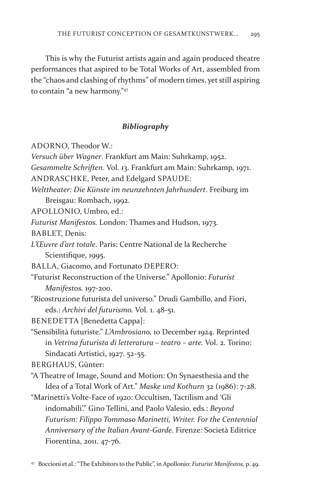This is why the Futurist artists again and again produced theatre performances that aspired to be Total Works of Art, assembled from the "chaos and clashing of rhythms" of modern times, yet still aspiring to contain "a new harmony."47

## *Bibliography*

ADORNO, Theodor W.:

*Versuch über Wagner*. Frankfurt am Main: Suhrkamp, 1952.

*Gesammelte Schriften*. Vol. 13. Frankfurt am Main: Suhrkamp, 1971.

ANDRASCHKE, Peter, and Edelgard SPAUDE:

*Welttheater: Die Künste im neunzehnten Jahrhundert*. Freiburg im Breisgau: Rombach, 1992.

APOLLONIO, Umbro, ed.:

*Futurist Manifestos.* London: Thames and Hudson, 1973.

BABLET, Denis:

*L'Œuvre d'art totale*. Paris: Centre National de la Recherche Scientifique, 1995.

BALLA, Giacomo, and Fortunato DEPERO:

"Futurist Reconstruction of the Universe." Apollonio: *Futurist Manifestos.* 197-200.

"Ricostruzione futurista del universo." Drudi Gambillo, and Fiori, eds.: *Archivi del futurismo.* Vol. 1. 48-51.

BENEDETTA [Benedetta Cappa]:

"Sensibilità futuriste." *L'Ambrosiano,* 10 December 1924. Reprinted in *Vetrina futurista di letteratura – teatro – arte.* Vol. 2. Torino: Sindacati Artistici, 1927. 52-55.

BERGHAUS, Günter:

"A Theatre of Image, Sound and Motion: On Synaesthesia and the Idea of a Total Work of Art." *Maske und Kothurn* 32 (1986): 7-28.

"Marinetti's Volte-Face of 1920: Occultism, Tactilism and 'Gli indomabili'." Gino Tellini, and Paolo Valesio, eds.: *Beyond Futurism: Filippo Tommaso Marinetti, Writer. For the Centennial Anniversary of the Italian Avant-Garde.* Firenze: Società Editrice Fiorentina, 2011. 47-76.

<sup>47</sup> Boccioni et al.: "The Exhibitors to the Public", in Apollonio: *Futurist Manifestos*, p. 49.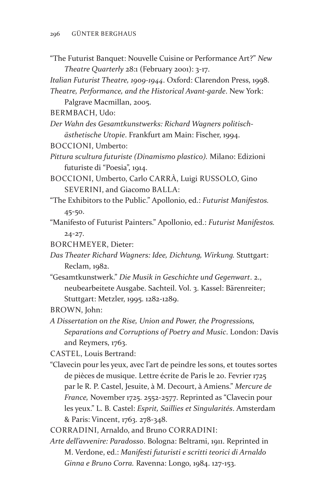"The Futurist Banquet: Nouvelle Cuisine or Performance Art?" *New Theatre Quarterly* 28:1 (February 2001): 3-17.

*Italian Futurist Theatre, 1909-1944*. Oxford: Clarendon Press, 1998. *Theatre, Performance, and the Historical Avant-garde*. New York:

Palgrave Macmillan, 2005.

BERMBACH, Udo:

*Der Wahn des Gesamtkunstwerks: Richard Wagners politischästhetische Utopie*. Frankfurt am Main: Fischer, 1994.

BOCCIONI, Umberto:

*Pittura scultura futuriste (Dinamismo plastico).* Milano: Edizioni futuriste di "Poesia", 1914.

BOCCIONI, Umberto, Carlo CARRÀ, Luigi RUSSOLO, Gino SEVERINI, and Giacomo BALLA:

"The Exhibitors to the Public." Apollonio, ed.: *Futurist Manifestos.*  45-50.

"Manifesto of Futurist Painters." Apollonio, ed.: *Futurist Manifestos.*  24-27.

BORCHMEYER, Dieter:

*Das Theater Richard Wagners: Idee, Dichtung, Wirkung.* Stuttgart: Reclam, 1982.

"Gesamtkunstwerk." *Die Musik in Geschichte und Gegenwart*. 2., neubearbeitete Ausgabe. Sachteil. Vol. 3. Kassel: Bärenreiter; Stuttgart: Metzler, 1995. 1282-1289.

BROWN, John:

*A Dissertation on the Rise, Union and Power, the Progressions, Separations and Corruptions of Poetry and Music*. London: Davis and Reymers, 1763.

CASTEL, Louis Bertrand:

"Clavecin pour les yeux, avec l'art de peindre les sons, et toutes sortes de pièces de musique. Lettre écrite de Paris le 20. Fevrier 1725 par le R. P. Castel, Jesuite, à M. Decourt, à Amiens." *Mercure de France,* November 1725. 2552-2577. Reprinted as "Clavecin pour les yeux." L. B. Castel: *Esprit, Saillies et Singularités*. Amsterdam & Paris: Vincent, 1763. 278-348.

CORRADINI, Arnaldo, and Bruno CORRADINI:

*Arte dell'avvenire: Paradosso*. Bologna: Beltrami, 1911. Reprinted in M. Verdone, ed.: *Manifesti futuristi e scritti teorici di Arnaldo Ginna e Bruno Corra.* Ravenna: Longo, 1984. 127-153.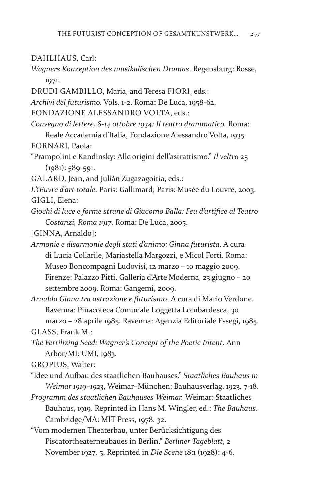DAHLHAUS, Carl:

- *Wagners Konzeption des musikalischen Dramas*. Regensburg: Bosse, 1971.
- DRUDI GAMBILLO, Maria, and Teresa FIORI, eds.:

*Archivi del futurismo.* Vols. 1-2. Roma: De Luca, 1958-62.

FONDAZIONE ALESSANDRO VOLTA, eds.:

*Convegno di lettere, 8-14 ottobre 1934: Il teatro drammatico.* Roma:

Reale Accademia d'Italia, Fondazione Alessandro Volta, 1935. FORNARI, Paola:

"Prampolini e Kandinsky: Alle origini dell'astrattismo." *Il veltro* 25  $(1981): 589 - 591.$ 

GALARD, Jean, and Julián Zugazagoitia, eds.:

- *L'Œuvre d'art totale*. Paris: Gallimard; Paris: Musée du Louvre, 2003. GIGLI, Elena:
- *Giochi di luce e forme strane di Giacomo Balla: Feu d'artifice al Teatro Costanzi, Roma 1917*. Roma: De Luca, 2005.

[GINNA, Arnaldo]:

*Armonie e disarmonie degli stati d'animo: Ginna futurista*. A cura di Lucia Collarile, Mariastella Margozzi, e Micol Forti. Roma: Museo Boncompagni Ludovisi, 12 marzo – 10 maggio 2009. Firenze: Palazzo Pitti, Galleria d'Arte Moderna, 23 giugno – 20 settembre 2009. Roma: Gangemi, 2009.

*Arnaldo Ginna tra astrazione e futurismo*. A cura di Mario Verdone. Ravenna: Pinacoteca Comunale Loggetta Lombardesca, 30 marzo – 28 aprile 1985. Ravenna: Agenzia Editoriale Essegi, 1985.

GLASS, Frank M.:

*The Fertilizing Seed: Wagner's Concept of the Poetic Intent*. Ann Arbor/MI: UMI, 1983.

GROPIUS, Walter:

"Idee und Aufbau des staatlichen Bauhauses." *Staatliches Bauhaus in Weimar 1919–1923*, Weimar–München: Bauhausverlag, 1923. 7-18.

*Programm des staatlichen Bauhauses Weimar.* Weimar: Staatliches Bauhaus, 1919. Reprinted in Hans M. Wingler, ed.: *The Bauhaus.*  Cambridge/MA: MIT Press, 1978. 32.

"Vom modernen Theaterbau, unter Berücksichtigung des Piscatortheaterneubaues in Berlin." *Berliner Tageblatt*, 2 November 1927. 5. Reprinted in *Die Scene* 18:1 (1928): 4-6.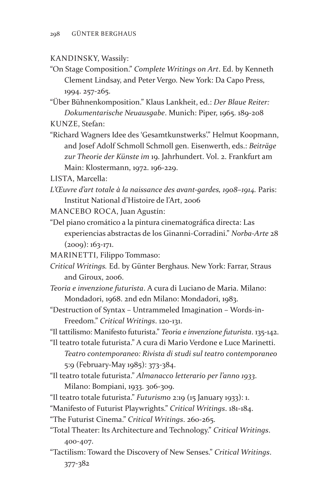## KANDINSKY, Wassily:

"On Stage Composition." *Complete Writings on Art*. Ed. by Kenneth Clement Lindsay, and Peter Vergo. New York: Da Capo Press, 1994. 257-265.

"Über Bühnenkomposition." Klaus Lankheit, ed.: *Der Blaue Reiter: Dokumentarische Neuausgabe*. Munich: Piper, 1965. 189-208

KUNZE, Stefan:

"Richard Wagners Idee des 'Gesamtkunstwerks'." Helmut Koopmann, and Josef Adolf Schmoll Schmoll gen. Eisenwerth, eds.: *Beiträge zur Theorie der Künste im* 19. Jahrhundert. Vol. 2. Frankfurt am Main: Klostermann, 1972. 196-229.

LISTA, Marcella:

- *L'Œuvre d'art totale à la naissance des avant-gardes, 1908–1914.* Paris: Institut National d'Histoire de l'Art, 2006
- MANCEBO ROCA, Juan Agustín:
- "Del piano cromático a la pintura cinematográfica directa: Las experiencias abstractas de los Ginanni-Corradini." *Norba-Arte* 28 (2009): 163-171.
- MARINETTI, Filippo Tommaso:
- *Critical Writings.* Ed. by Günter Berghaus. New York: Farrar, Straus and Giroux, 2006.
- *Teoria e invenzione futurista*. A cura di Luciano de Maria. Milano: Mondadori, 1968. 2nd edn Milano: Mondadori, 1983.
- "Destruction of Syntax Untrammeled Imagination Words-in-Freedom." *Critical Writings*. 120-131.
- "Il tattilismo: Manifesto futurista." *Teoria e invenzione futurista*. 135-142.
- "Il teatro totale futurista." A cura di Mario Verdone e Luce Marinetti.
	- *Teatro contemporaneo: Rivista di studi sul teatro contemporaneo* 5:9 (February-May 1985): 373-384.
- "Il teatro totale futurista." *Almanacco letterario per l'anno 1933*. Milano: Bompiani, 1933. 306-309.
- "Il teatro totale futurista." *Futurismo* 2:19 (15 January 1933): 1.

"Manifesto of Futurist Playwrights." *Critical Writings*. 181-184.

"The Futurist Cinema." *Critical Writings*. 260-265.

- "Total Theater: Its Architecture and Technology." *Critical Writings*. 400-407.
- "Tactilism: Toward the Discovery of New Senses." *Critical Writings*. 377-382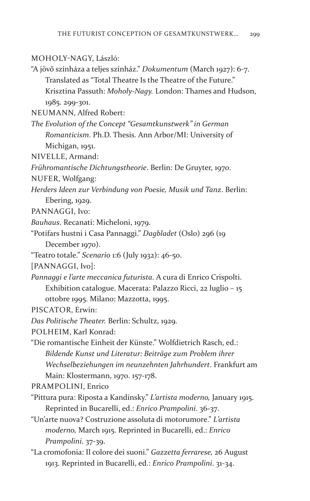## MOHOLY-NAGY, László:

"A jövő színháza a teljes színház." *Dokumentum* (March 1927): 6-7. Translated as "Total Theatre Is the Theatre of the Future." Krisztina Passuth: *Moholy-Nagy.* London: Thames and Hudson, 1985. 299-301.

NEUMANN, Alfred Robert:

*The Evolution of the Concept "Gesamtkunstwerk" in German Romanticism*. Ph.D. Thesis. Ann Arbor/MI: University of Michigan, 1951.

NIVELLE, Armand:

*Frühromantische Dichtungstheorie*. Berlin: De Gruyter, 1970.

- NUFER, Wolfgang:
- *Herders Ideen zur Verbindung von Poesie, Musik und Tanz*. Berlin:

Ebering, 1929.

PANNAGGI, Ivo:

- *Bauhaus*. Recanati: Micheloni, 1979.
- "Potifars hustni i Casa Pannaggi." *Dagbladet* (Oslo) 296 (19 December 1970).
- "Teatro totale." *Scenario* 1:6 (July 1932): 46-50.

[PANNAGGI, Ivo]:

*Pannaggi e l'arte meccanica futurista*. A cura di Enrico Crispolti. Exhibition catalogue. Macerata: Palazzo Ricci, 22 luglio – 15 ottobre 1995. Milano: Mazzotta, 1995.

PISCATOR, Erwin:

*Das Politische Theater.* Berlin: Schultz, 1929.

POLHEIM, Karl Konrad:

"Die romantische Einheit der Künste." Wolfdietrich Rasch, ed.: *Bildende Kunst und Literatur: Beiträge zum Problem ihrer Wechselbeziehungen im neunzehnten Jahrhundert*. Frankfurt am Main: Klostermann, 1970. 157-178.

PRAMPOLINI, Enrico

- "Pittura pura: Riposta a Kandinsky." *L'artista moderno,* January 1915. Reprinted in Bucarelli, ed.: *Enrico Prampolini*. 36-37.
- "Un'arte nuova? Costruzione assoluta di motorumore." *L'artista moderno,* March 1915. Reprinted in Bucarelli, ed.: *Enrico Prampolini*. 37-39.
- "La cromofonia: Il colore dei suoni." *Gazzetta ferrarese,* 26 August 1913. Reprinted in Bucarelli, ed.: *Enrico Prampolini*. 31-34.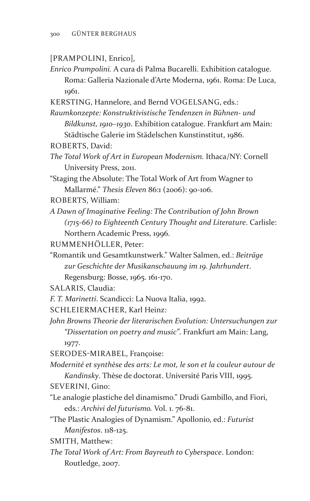## [PRAMPOLINI, Enrico],

*Enrico Prampolini.* A cura di Palma Bucarelli. Exhibition catalogue. Roma: Galleria Nazionale d'Arte Moderna, 1961. Roma: De Luca, 1961.

KERSTING, Hannelore, and Bernd VOGELSANG, eds.:

*Raumkonzepte: Konstruktivistische Tendenzen in Bühnen- und Bildkunst, 1910–1930*. Exhibition catalogue. Frankfurt am Main: Städtische Galerie im Städelschen Kunstinstitut, 1986.

- ROBERTS, David:
- *The Total Work of Art in European Modernism.* Ithaca/NY: Cornell University Press, 2011.

"Staging the Absolute: The Total Work of Art from Wagner to Mallarmé." *Thesis Eleven* 86:1 (2006): 90-106.

ROBERTS, William:

*A Dawn of Imaginative Feeling: The Contribution of John Brown (1715-66) to Eighteenth Century Thought and Literature*. Carlisle: Northern Academic Press, 1996.

RUMMENHÖLLER, Peter:

"Romantik und Gesamtkunstwerk." Walter Salmen, ed.: *Beiträge zur Geschichte der Musikanschauung im 19. Jahrhundert*. Regensburg: Bosse, 1965. 161-170.

SALARIS, Claudia:

*F. T. Marinetti*. Scandicci: La Nuova Italia, 1992.

SCHLEIERMACHER, Karl Heinz:

*John Browns Theorie der literarischen Evolution: Untersuchungen zur "Dissertation on poetry and music"*. Frankfurt am Main: Lang, 1977.

SERODES-MIRABEL, Françoise:

*Modernité et synthèse des arts: Le mot, le son et la couleur autour de Kandinsky*. Thèse de doctorat. Université Paris VIII, 1995.

SEVERINI, Gino:

- "Le analogie plastiche del dinamismo." Drudi Gambillo, and Fiori, eds.: *Archivi del futurismo.* Vol. 1. 76-81.
- "The Plastic Analogies of Dynamism." Apollonio, ed.: *Futurist Manifestos*. 118-125.

SMITH, Matthew:

*The Total Work of Art: From Bayreuth to Cyberspace*. London: Routledge, 2007.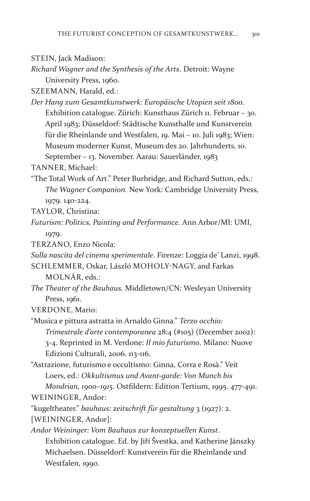STEIN, Jack Madison:

*Richard Wagner and the Synthesis of the Arts*. Detroit: Wayne University Press, 1960.

SZEEMANN, Harald, ed.:

*Der Hang zum Gesamtkunstwerk: Europäische Utopien seit 1800.*  Exhibition catalogue. Zürich: Kunsthaus Zürich 11. Februar – 30. April 1983; Düsseldorf: Städtische Kunsthalle und Kunstverein für die Rheinlande und Westfalen, 19. Mai – 10. Juli 1983; Wien: Museum moderner Kunst, Museum des 20. Jahrhunderts, 10. September – 13. November. Aarau: Sauerländer, 1983

TANNER, Michael:

"The Total Work of Art." Peter Burbridge, and Richard Sutton, eds.: *The Wagner Companion.* New York: Cambridge University Press, 1979. 140-224.

TAYLOR, Christina:

*Futurism: Politics, Painting and Performance.* Ann Arbor/MI: UMI, 1979.

TERZANO, Enzo Nicola:

*Sulla nascita del cinema sperimentale*. Firenze: Loggia de' Lanzi, 1998.

SCHLEMMER, Oskar, László MOHOLY-NAGY, and Farkas MOLNÁR, eds.:

*The Theater of the Bauhaus.* Middletown/CN: Wesleyan University Press, 1961.

VERDONE, Mario:

"Musica e pittura astratta in Arnaldo Ginna." *Terzo occhio: Trimestrale d'arte contemporanea* 28:4 (#105) (December 2002): 3-4. Reprinted in M. Verdone: *Il mio futurismo*. Milano: Nuove Edizioni Culturali, 2006. 113-116.

"Astrazione, futurismo e occultismo: Ginna, Corra e Rosà." Veit Loers, ed.: *Okkultismus und Avant-garde: Von Munch bis* 

*Mondrian, 1900–1915*. Ostfildern: Edition Tertium, 1995. 477-491. WEININGER, Andor:

"kugeltheater." *bauhaus: zeitschrift für gestaltung* 3 (1927): 2.

[WEININGER, Andor]:

*Andor Weininger: Vom Bauhaus zur konzeptuellen Kunst*. Exhibition catalogue. Ed. by Jiří Švestka, and Katherine Jánszky Michaelsen. Düsseldorf: Kunstverein für die Rheinlande und Westfalen, 1990.